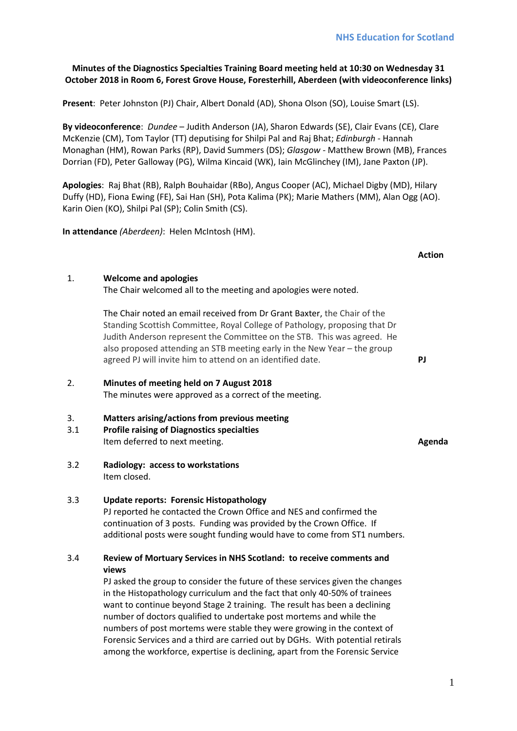# **Minutes of the Diagnostics Specialties Training Board meeting held at 10:30 on Wednesday 31 October 2018 in Room 6, Forest Grove House, Foresterhill, Aberdeen (with videoconference links)**

**Present**: Peter Johnston (PJ) Chair, Albert Donald (AD), Shona Olson (SO), Louise Smart (LS).

**By videoconference**: *Dundee* – Judith Anderson (JA), Sharon Edwards (SE), Clair Evans (CE), Clare McKenzie (CM), Tom Taylor (TT) deputising for Shilpi Pal and Raj Bhat; *Edinburgh -* Hannah Monaghan (HM), Rowan Parks (RP), David Summers (DS); *Glasgow* - Matthew Brown (MB), Frances Dorrian (FD), Peter Galloway (PG), Wilma Kincaid (WK), Iain McGlinchey (IM), Jane Paxton (JP).

**Apologies**: Raj Bhat (RB), Ralph Bouhaidar (RBo), Angus Cooper (AC), Michael Digby (MD), Hilary Duffy (HD), Fiona Ewing (FE), Sai Han (SH), Pota Kalima (PK); Marie Mathers (MM), Alan Ogg (AO). Karin Oien (KO), Shilpi Pal (SP); Colin Smith (CS).

**In attendance** *(Aberdeen)*: Helen McIntosh (HM).

# 1. **Welcome and apologies**

The Chair welcomed all to the meeting and apologies were noted.

The Chair noted an email received from Dr Grant Baxter, the Chair of the Standing Scottish Committee, Royal College of Pathology, proposing that Dr Judith Anderson represent the Committee on the STB. This was agreed. He also proposed attending an STB meeting early in the New Year – the group agreed PJ will invite him to attend on an identified date. **PJ**

# 2. **Minutes of meeting held on 7 August 2018** The minutes were approved as a correct of the meeting.

# 3. **Matters arising/actions from previous meeting**

- 3.1 **Profile raising of Diagnostics specialties** Item deferred to next meeting. **Agenda**
- 3.2 **Radiology: access to workstations** Item closed.

# 3.3 **Update reports: Forensic Histopathology**

PJ reported he contacted the Crown Office and NES and confirmed the continuation of 3 posts. Funding was provided by the Crown Office. If additional posts were sought funding would have to come from ST1 numbers.

# 3.4 **Review of Mortuary Services in NHS Scotland: to receive comments and views**

PJ asked the group to consider the future of these services given the changes in the Histopathology curriculum and the fact that only 40-50% of trainees want to continue beyond Stage 2 training. The result has been a declining number of doctors qualified to undertake post mortems and while the numbers of post mortems were stable they were growing in the context of Forensic Services and a third are carried out by DGHs. With potential retirals among the workforce, expertise is declining, apart from the Forensic Service

**Action**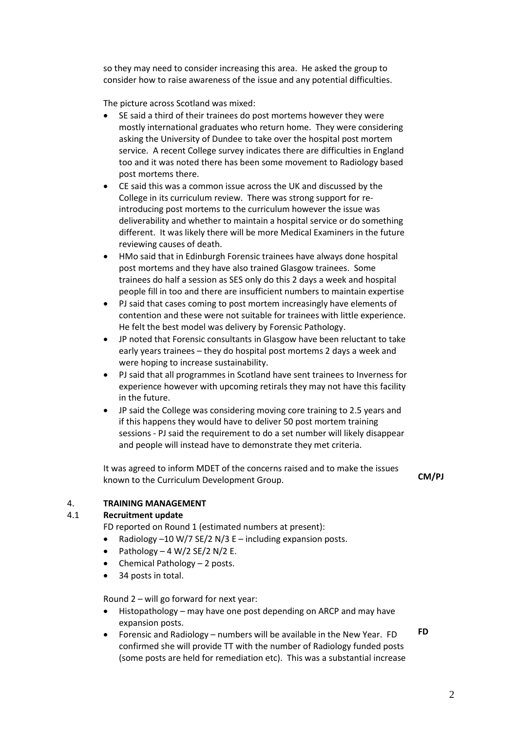so they may need to consider increasing this area. He asked the group to consider how to raise awareness of the issue and any potential difficulties.

The picture across Scotland was mixed:

- SE said a third of their trainees do post mortems however they were mostly international graduates who return home. They were considering asking the University of Dundee to take over the hospital post mortem service. A recent College survey indicates there are difficulties in England too and it was noted there has been some movement to Radiology based post mortems there.
- CE said this was a common issue across the UK and discussed by the College in its curriculum review. There was strong support for reintroducing post mortems to the curriculum however the issue was deliverability and whether to maintain a hospital service or do something different. It was likely there will be more Medical Examiners in the future reviewing causes of death.
- HMo said that in Edinburgh Forensic trainees have always done hospital post mortems and they have also trained Glasgow trainees. Some trainees do half a session as SES only do this 2 days a week and hospital people fill in too and there are insufficient numbers to maintain expertise
- PJ said that cases coming to post mortem increasingly have elements of contention and these were not suitable for trainees with little experience. He felt the best model was delivery by Forensic Pathology.
- JP noted that Forensic consultants in Glasgow have been reluctant to take early years trainees – they do hospital post mortems 2 days a week and were hoping to increase sustainability.
- PJ said that all programmes in Scotland have sent trainees to Inverness for experience however with upcoming retirals they may not have this facility in the future.
- JP said the College was considering moving core training to 2.5 years and if this happens they would have to deliver 50 post mortem training sessions - PJ said the requirement to do a set number will likely disappear and people will instead have to demonstrate they met criteria.

It was agreed to inform MDET of the concerns raised and to make the issues known to the Curriculum Development Group. **CM/PJ**

# 4. **TRAINING MANAGEMENT**

# 4.1 **Recruitment update**

FD reported on Round 1 (estimated numbers at present):

- Radiology  $-10 \text{ W}/7$  SE/2 N/3 E including expansion posts.
- Pathology  $-4$  W/2 SE/2 N/2 E.
- Chemical Pathology 2 posts.
- 34 posts in total.

Round 2 – will go forward for next year:

- Histopathology may have one post depending on ARCP and may have expansion posts.
- Forensic and Radiology numbers will be available in the New Year. FD confirmed she will provide TT with the number of Radiology funded posts (some posts are held for remediation etc). This was a substantial increase **FD**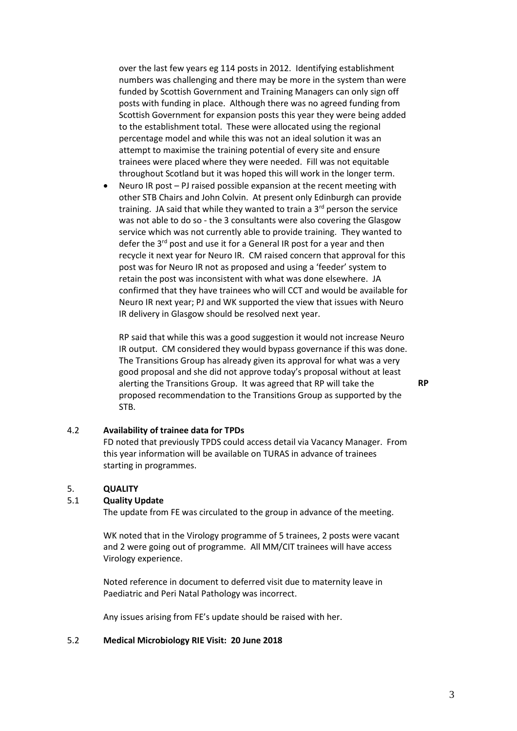over the last few years eg 114 posts in 2012. Identifying establishment numbers was challenging and there may be more in the system than were funded by Scottish Government and Training Managers can only sign off posts with funding in place. Although there was no agreed funding from Scottish Government for expansion posts this year they were being added to the establishment total. These were allocated using the regional percentage model and while this was not an ideal solution it was an attempt to maximise the training potential of every site and ensure trainees were placed where they were needed. Fill was not equitable throughout Scotland but it was hoped this will work in the longer term.

• Neuro IR post – PJ raised possible expansion at the recent meeting with other STB Chairs and John Colvin. At present only Edinburgh can provide training. JA said that while they wanted to train a  $3<sup>rd</sup>$  person the service was not able to do so - the 3 consultants were also covering the Glasgow service which was not currently able to provide training. They wanted to defer the  $3^{rd}$  post and use it for a General IR post for a year and then recycle it next year for Neuro IR. CM raised concern that approval for this post was for Neuro IR not as proposed and using a 'feeder' system to retain the post was inconsistent with what was done elsewhere. JA confirmed that they have trainees who will CCT and would be available for Neuro IR next year; PJ and WK supported the view that issues with Neuro IR delivery in Glasgow should be resolved next year.

RP said that while this was a good suggestion it would not increase Neuro IR output. CM considered they would bypass governance if this was done. The Transitions Group has already given its approval for what was a very good proposal and she did not approve today's proposal without at least alerting the Transitions Group. It was agreed that RP will take the proposed recommendation to the Transitions Group as supported by the STB.

**RP**

## 4.2 **Availability of trainee data for TPDs**

FD noted that previously TPDS could access detail via Vacancy Manager. From this year information will be available on TURAS in advance of trainees starting in programmes.

#### 5. **QUALITY**

#### 5.1 **Quality Update**

The update from FE was circulated to the group in advance of the meeting.

WK noted that in the Virology programme of 5 trainees, 2 posts were vacant and 2 were going out of programme. All MM/CIT trainees will have access Virology experience.

Noted reference in document to deferred visit due to maternity leave in Paediatric and Peri Natal Pathology was incorrect.

Any issues arising from FE's update should be raised with her.

#### 5.2 **Medical Microbiology RIE Visit: 20 June 2018**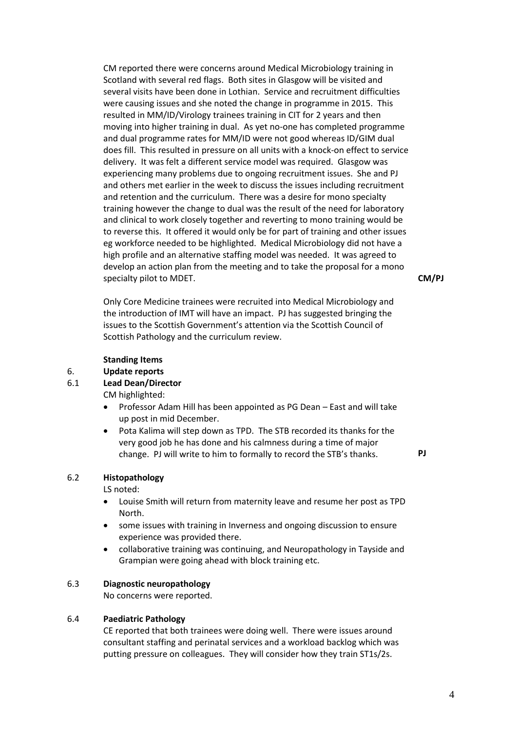CM reported there were concerns around Medical Microbiology training in Scotland with several red flags. Both sites in Glasgow will be visited and several visits have been done in Lothian. Service and recruitment difficulties were causing issues and she noted the change in programme in 2015. This resulted in MM/ID/Virology trainees training in CIT for 2 years and then moving into higher training in dual. As yet no-one has completed programme and dual programme rates for MM/ID were not good whereas ID/GIM dual does fill. This resulted in pressure on all units with a knock-on effect to service delivery. It was felt a different service model was required. Glasgow was experiencing many problems due to ongoing recruitment issues. She and PJ and others met earlier in the week to discuss the issues including recruitment and retention and the curriculum. There was a desire for mono specialty training however the change to dual was the result of the need for laboratory and clinical to work closely together and reverting to mono training would be to reverse this. It offered it would only be for part of training and other issues eg workforce needed to be highlighted. Medical Microbiology did not have a high profile and an alternative staffing model was needed. It was agreed to develop an action plan from the meeting and to take the proposal for a mono specialty pilot to MDET.

**CM/PJ**

Only Core Medicine trainees were recruited into Medical Microbiology and the introduction of IMT will have an impact. PJ has suggested bringing the issues to the Scottish Government's attention via the Scottish Council of Scottish Pathology and the curriculum review.

#### **Standing Items**

## 6. **Update reports**

### 6.1 **Lead Dean/Director**

CM highlighted:

- Professor Adam Hill has been appointed as PG Dean East and will take up post in mid December.
- Pota Kalima will step down as TPD. The STB recorded its thanks for the very good job he has done and his calmness during a time of major change. PJ will write to him to formally to record the STB's thanks. **PJ**

#### 6.2 **Histopathology**

LS noted:

- Louise Smith will return from maternity leave and resume her post as TPD North.
- some issues with training in Inverness and ongoing discussion to ensure experience was provided there.
- collaborative training was continuing, and Neuropathology in Tayside and Grampian were going ahead with block training etc.

# 6.3 **Diagnostic neuropathology**

No concerns were reported.

### 6.4 **Paediatric Pathology**

CE reported that both trainees were doing well. There were issues around consultant staffing and perinatal services and a workload backlog which was putting pressure on colleagues. They will consider how they train ST1s/2s.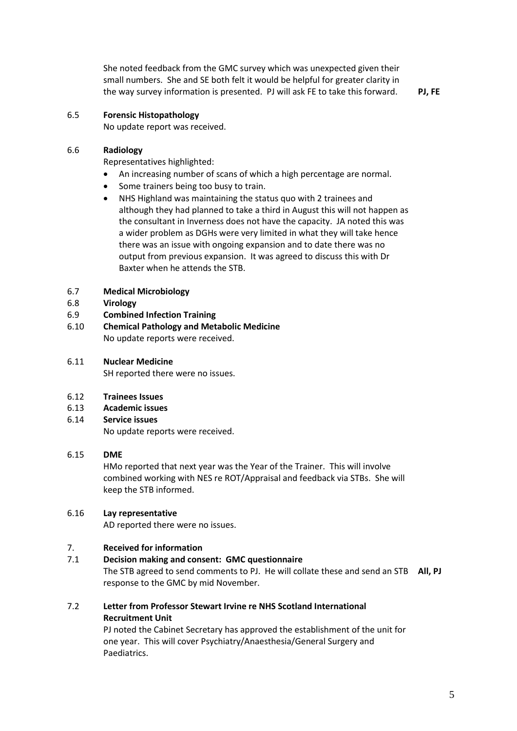She noted feedback from the GMC survey which was unexpected given their small numbers. She and SE both felt it would be helpful for greater clarity in the way survey information is presented. PJ will ask FE to take this forward. **PJ, FE**

## 6.5 **Forensic Histopathology**

No update report was received.

## 6.6 **Radiology**

Representatives highlighted:

- An increasing number of scans of which a high percentage are normal.
- Some trainers being too busy to train.
- NHS Highland was maintaining the status quo with 2 trainees and although they had planned to take a third in August this will not happen as the consultant in Inverness does not have the capacity. JA noted this was a wider problem as DGHs were very limited in what they will take hence there was an issue with ongoing expansion and to date there was no output from previous expansion. It was agreed to discuss this with Dr Baxter when he attends the STB.

#### 6.7 **Medical Microbiology**

- 6.8 **Virology**
- 6.9 **Combined Infection Training**
- 6.10 **Chemical Pathology and Metabolic Medicine** No update reports were received.
- 6.11 **Nuclear Medicine**

SH reported there were no issues.

## 6.12 **Trainees Issues**

6.13 **Academic issues**

#### 6.14 **Service issues**

No update reports were received.

## 6.15 **DME**

HMo reported that next year was the Year of the Trainer. This will involve combined working with NES re ROT/Appraisal and feedback via STBs. She will keep the STB informed.

## 6.16 **Lay representative**

AD reported there were no issues.

## 7. **Received for information**

### 7.1 **Decision making and consent: GMC questionnaire**

The STB agreed to send comments to PJ. He will collate these and send an STB **All, PJ** response to the GMC by mid November.

7.2 **Letter from Professor Stewart Irvine re NHS Scotland International Recruitment Unit**

> PJ noted the Cabinet Secretary has approved the establishment of the unit for one year. This will cover Psychiatry/Anaesthesia/General Surgery and Paediatrics.